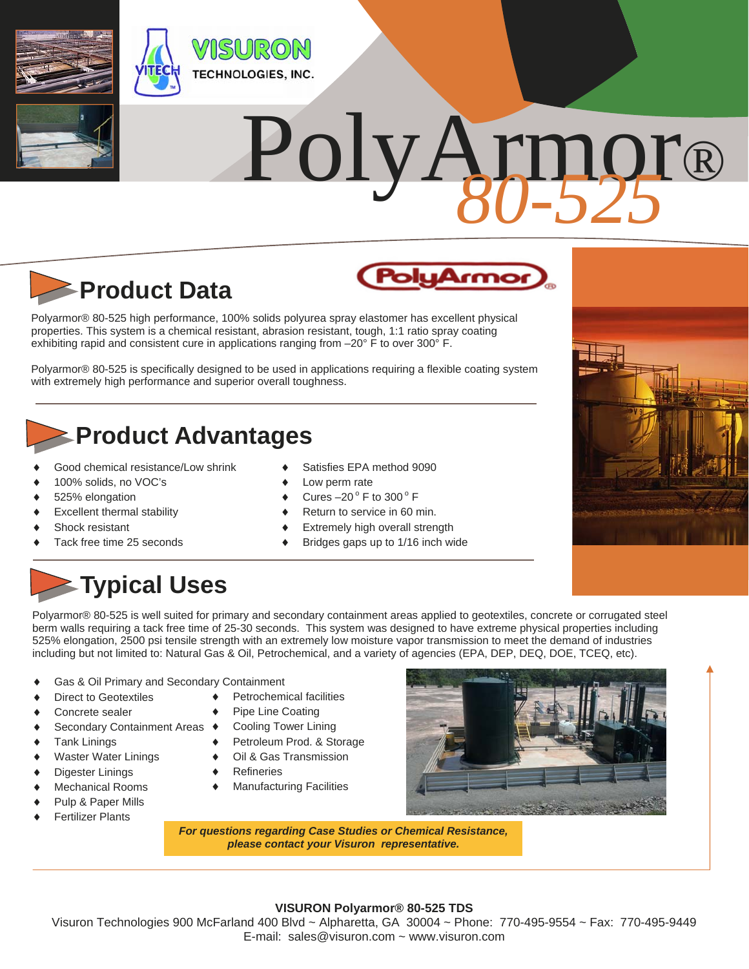

# PolyArmor®



Polyarmor® 80-525 high performance, 100% solids polyurea spray elastomer has excellent physical properties. This system is a chemical resistant, abrasion resistant, tough, 1:1 ratio spray coating

exhibiting rapid and consistent cure in applications ranging from -20° F to over 300° F.

Polyarmor® 80-525 is specifically designed to be used in applications requiring a flexible coating system with extremely high performance and superior overall toughness.

### **Product Advantages**

- Good chemical resistance/Low shrink
- 100% solids, no VOC's
- 525% elongation
- Excellent thermal stability
- Shock resistant
- Tack free time 25 seconds

#### Satisfies EPA method 9090

- Low perm rate
- Cures  $-20^\circ$  F to 300 $^\circ$  F
- Return to service in 60 min.
- Extremely high overall strength
- Bridges gaps up to 1/16 inch wide



## **Typical Uses**

Polyarmor® 80-525 is well suited for primary and secondary containment areas applied to geotextiles, concrete or corrugated steel berm walls requiring a tack free time of 25-30 seconds. This system was designed to have extreme physical properties including 525% elongation, 2500 psi tensile strength with an extremely low moisture vapor transmission to meet the demand of industries including but not limited to: Natural Gas & Oil, Petrochemical, and a variety of agencies (EPA, DEP, DEQ, DOE, TCEQ, etc).

- Gas & Oil Primary and Secondary Containment
- Direct to Geotextiles
- Concrete sealer
- ◆ Secondary Containment Areas ◆
- ◆ Tank Linings
- Waster Water Linings
- Digester Linings
- Mechanical Rooms
- Pulp & Paper Mills
- Fertilizer Plants
- ◆ Petrochemical facilities
- Pipe Line Coating
- Cooling Tower Lining
- Petroleum Prod. & Storage
- Oil & Gas Transmission
- **Refineries**
- Manufacturing Facilities



*For questions regarding Case Studies or Chemical Resistance, please contact your Visuron representative.* 

#### **VISURON Polyarmor® 80-525 TDS**